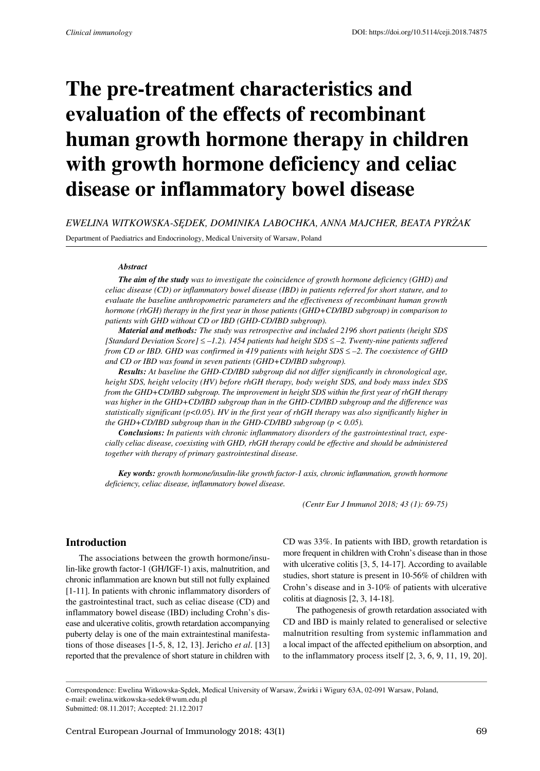# **The pre-treatment characteristics and evaluation of the effects of recombinant human growth hormone therapy in children with growth hormone deficiency and celiac disease or inflammatory bowel disease**

*Ewelina Witkowska-Sędek, Dominika Labochka, Anna Majcher, Beata Pyrżak*

Department of Paediatrics and Endocrinology, Medical University of Warsaw, Poland

#### *Abstract*

*The aim of the study was to investigate the coincidence of growth hormone deficiency (GHD) and celiac disease (CD) or inflammatory bowel disease (IBD) in patients referred for short stature, and to evaluate the baseline anthropometric parameters and the effectiveness of recombinant human growth hormone (rhGH) therapy in the first year in those patients (GHD+CD/IBD subgroup) in comparison to patients with GHD without CD or IBD (GHD-CD/IBD subgroup).* 

*Material and methods: The study was retrospective and included 2196 short patients (height SDS [Standard Deviation Score]* ≤ *–1.2). 1454 patients had height SDS* ≤ *–2. Twenty-nine patients suffered from CD or IBD. GHD was confirmed in 419 patients with height SDS* ≤ *–2. The coexistence of GHD and CD or IBD was found in seven patients (GHD+CD/IBD subgroup).* 

*Results: At baseline the GHD-CD/IBD subgroup did not differ significantly in chronological age, height SDS, height velocity (HV) before rhGH therapy, body weight SDS, and body mass index SDS from the GHD+CD/IBD subgroup. The improvement in height SDS within the first year of rhGH therapy was higher in the GHD+CD/IBD subgroup than in the GHD-CD/IBD subgroup and the difference was statistically significant (p<0.05). HV in the first year of rhGH therapy was also significantly higher in the GHD+CD/IBD subgroup than in the GHD-CD/IBD subgroup (p < 0.05).* 

*Conclusions: In patients with chronic inflammatory disorders of the gastrointestinal tract, especially celiac disease, coexisting with GHD, rhGH therapy could be effective and should be administered together with therapy of primary gastrointestinal disease.*

*Key words: growth hormone/insulin-like growth factor-1 axis, chronic inflammation, growth hormone deficiency, celiac disease, inflammatory bowel disease.*

*(Centr Eur J Immunol 2018; 43 (1): 69-75)*

### **Introduction**

The associations between the growth hormone/insulin-like growth factor-1 (GH/IGF-1) axis, malnutrition, and chronic inflammation are known but still not fully explained [1-11]. In patients with chronic inflammatory disorders of the gastrointestinal tract, such as celiac disease (CD) and inflammatory bowel disease (IBD) including Crohn's disease and ulcerative colitis, growth retardation accompanying puberty delay is one of the main extraintestinal manifestations of those diseases [1-5, 8, 12, 13]. Jericho *et al*. [13] reported that the prevalence of short stature in children with

CD was 33%. In patients with IBD, growth retardation is more frequent in children with Crohn's disease than in those with ulcerative colitis [3, 5, 14-17]. According to available studies, short stature is present in 10-56% of children with Crohn's disease and in 3-10% of patients with ulcerative colitis at diagnosis [2, 3, 14-18].

The pathogenesis of growth retardation associated with CD and IBD is mainly related to generalised or selective malnutrition resulting from systemic inflammation and a local impact of the affected epithelium on absorption, and to the inflammatory process itself [2, 3, 6, 9, 11, 19, 20].

Correspondence: Ewelina Witkowska-Sędek, Medical University of Warsaw, Żwirki i Wigury 63A, 02-091 Warsaw, Poland, e-mail: ewelina.witkowska-sedek@wum.edu.pl Submitted: 08.11.2017; Accepted: 21.12.2017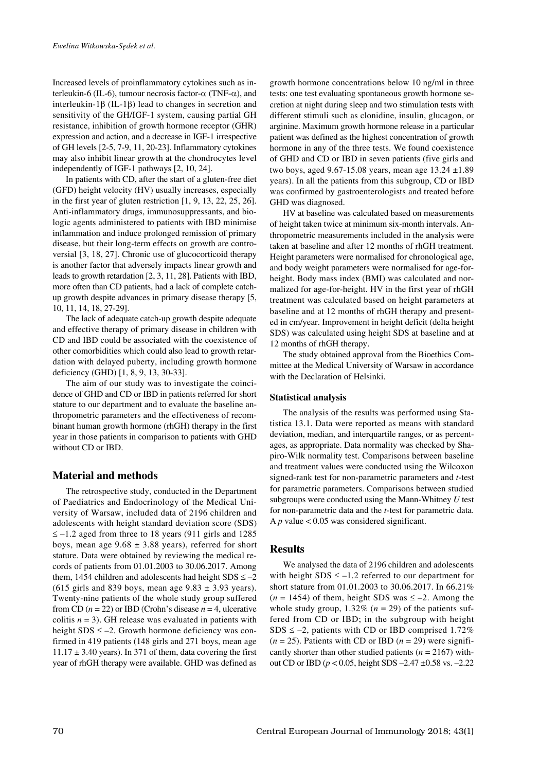Increased levels of proinflammatory cytokines such as interleukin-6 (IL-6), tumour necrosis factor-α (TNF-α), and interleukin-1β (IL-1β) lead to changes in secretion and sensitivity of the GH/IGF-1 system, causing partial GH resistance, inhibition of growth hormone receptor (GHR) expression and action, and a decrease in IGF-1 irrespective of GH levels [2-5, 7-9, 11, 20-23]. Inflammatory cytokines may also inhibit linear growth at the chondrocytes level independently of IGF-1 pathways [2, 10, 24].

In patients with CD, after the start of a gluten-free diet (GFD) height velocity (HV) usually increases, especially in the first year of gluten restriction [1, 9, 13, 22, 25, 26]. Anti-inflammatory drugs, immunosuppressants, and biologic agents administered to patients with IBD minimise inflammation and induce prolonged remission of primary disease, but their long-term effects on growth are controversial [3, 18, 27]. Chronic use of glucocorticoid therapy is another factor that adversely impacts linear growth and leads to growth retardation [2, 3, 11, 28]. Patients with IBD, more often than CD patients, had a lack of complete catchup growth despite advances in primary disease therapy [5, 10, 11, 14, 18, 27-29].

The lack of adequate catch-up growth despite adequate and effective therapy of primary disease in children with CD and IBD could be associated with the coexistence of other comorbidities which could also lead to growth retardation with delayed puberty, including growth hormone deficiency (GHD) [1, 8, 9, 13, 30-33].

The aim of our study was to investigate the coincidence of GHD and CD or IBD in patients referred for short stature to our department and to evaluate the baseline anthropometric parameters and the effectiveness of recombinant human growth hormone (rhGH) therapy in the first year in those patients in comparison to patients with GHD without CD or IBD.

## **Material and methods**

The retrospective study, conducted in the Department of Paediatrics and Endocrinology of the Medical University of Warsaw, included data of 2196 children and adolescents with height standard deviation score (SDS)  $\le$  -1.2 aged from three to 18 years (911 girls and 1285 boys, mean age  $9.68 \pm 3.88$  years), referred for short stature. Data were obtained by reviewing the medical records of patients from 01.01.2003 to 30.06.2017. Among them, 1454 children and adolescents had height  $SDS \le -2$ (615 girls and 839 boys, mean age  $9.83 \pm 3.93$  years). Twenty-nine patients of the whole study group suffered from CD  $(n = 22)$  or IBD (Crohn's disease  $n = 4$ , ulcerative colitis  $n = 3$ ). GH release was evaluated in patients with height  $SDS \le -2$ . Growth hormone deficiency was confirmed in 419 patients (148 girls and 271 boys, mean age  $11.17 \pm 3.40$  years). In 371 of them, data covering the first year of rhGH therapy were available. GHD was defined as growth hormone concentrations below 10 ng/ml in three tests: one test evaluating spontaneous growth hormone secretion at night during sleep and two stimulation tests with different stimuli such as clonidine, insulin, glucagon, or arginine. Maximum growth hormone release in a particular patient was defined as the highest concentration of growth hormone in any of the three tests. We found coexistence of GHD and CD or IBD in seven patients (five girls and two boys, aged 9.67-15.08 years, mean age 13.24 ±1.89 years). In all the patients from this subgroup, CD or IBD was confirmed by gastroenterologists and treated before GHD was diagnosed.

HV at baseline was calculated based on measurements of height taken twice at minimum six-month intervals. Anthropometric measurements included in the analysis were taken at baseline and after 12 months of rhGH treatment. Height parameters were normalised for chronological age, and body weight parameters were normalised for age-forheight. Body mass index (BMI) was calculated and normalized for age-for-height. HV in the first year of rhGH treatment was calculated based on height parameters at baseline and at 12 months of rhGH therapy and presented in cm/year. Improvement in height deficit (delta height SDS) was calculated using height SDS at baseline and at 12 months of rhGH therapy.

The study obtained approval from the Bioethics Committee at the Medical University of Warsaw in accordance with the Declaration of Helsinki.

#### **Statistical analysis**

The analysis of the results was performed using Statistica 13.1. Data were reported as means with standard deviation, median, and interquartile ranges, or as percentages, as appropriate. Data normality was checked by Shapiro-Wilk normality test. Comparisons between baseline and treatment values were conducted using the Wilcoxon signed-rank test for non-parametric parameters and *t*-test for parametric parameters. Comparisons between studied subgroups were conducted using the Mann-Whitney *U* test for non-parametric data and the *t*-test for parametric data. A  $p$  value  $< 0.05$  was considered significant.

## **Results**

We analysed the data of 2196 children and adolescents with height  $SDS \le -1.2$  referred to our department for short stature from 01.01.2003 to 30.06.2017. In 66.21%  $(n = 1454)$  of them, height SDS was  $\le -2$ . Among the whole study group,  $1.32\%$  ( $n = 29$ ) of the patients suffered from CD or IBD; in the subgroup with height SDS  $\leq -2$ , patients with CD or IBD comprised 1.72%  $(n = 25)$ . Patients with CD or IBD  $(n = 29)$  were significantly shorter than other studied patients (*n* = 2167) without CD or IBD (*p* < 0.05, height SDS –2.47 ±0.58 vs. –2.22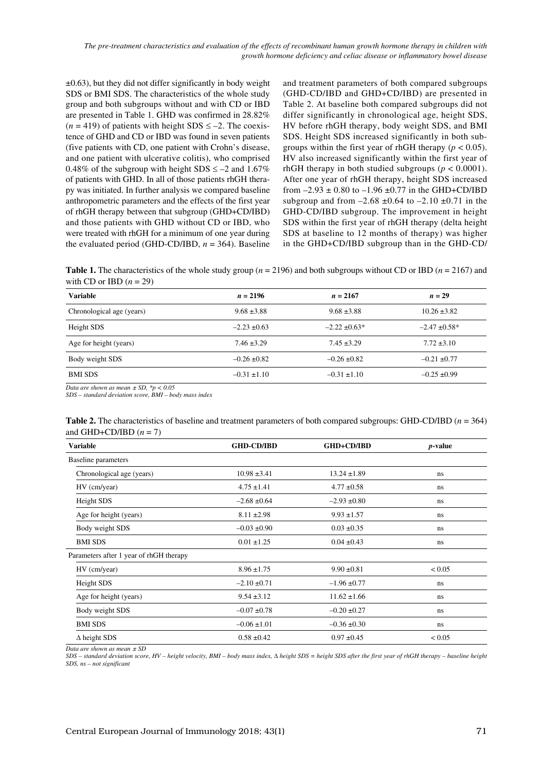*The pre-treatment characteristics and evaluation of the effects of recombinant human growth hormone therapy in children with growth hormone deficiency and celiac disease or inflammatory bowel disease*

 $\pm 0.63$ ), but they did not differ significantly in body weight SDS or BMI SDS. The characteristics of the whole study group and both subgroups without and with CD or IBD are presented in Table 1. GHD was confirmed in 28.82%  $(n = 419)$  of patients with height SDS  $\le -2$ . The coexistence of GHD and CD or IBD was found in seven patients (five patients with CD, one patient with Crohn's disease, and one patient with ulcerative colitis), who comprised 0.48% of the subgroup with height SDS  $\le$  -2 and 1.67% of patients with GHD. In all of those patients rhGH therapy was initiated. In further analysis we compared baseline anthropometric parameters and the effects of the first year of rhGH therapy between that subgroup (GHD+CD/IBD) and those patients with GHD without CD or IBD, who were treated with rhGH for a minimum of one year during the evaluated period (GHD-CD/IBD,  $n = 364$ ). Baseline

and treatment parameters of both compared subgroups (GHD-CD/IBD and GHD+CD/IBD) are presented in Table 2. At baseline both compared subgroups did not differ significantly in chronological age, height SDS, HV before rhGH therapy, body weight SDS, and BMI SDS. Height SDS increased significantly in both subgroups within the first year of rhGH therapy ( $p < 0.05$ ). HV also increased significantly within the first year of rhGH therapy in both studied subgroups ( $p < 0.0001$ ). After one year of rhGH therapy, height SDS increased from  $-2.93 \pm 0.80$  to  $-1.96 \pm 0.77$  in the GHD+CD/IBD subgroup and from  $-2.68 \pm 0.64$  to  $-2.10 \pm 0.71$  in the GHD-CD/IBD subgroup. The improvement in height SDS within the first year of rhGH therapy (delta height SDS at baseline to 12 months of therapy) was higher in the GHD+CD/IBD subgroup than in the GHD-CD/

**Table 1.** The characteristics of the whole study group (*n* = 2196) and both subgroups without CD or IBD (*n* = 2167) and with CD or IBD  $(n = 29)$ 

| Variable                  | $n = 2196$       | $n = 2167$        | $n=29$             |
|---------------------------|------------------|-------------------|--------------------|
| Chronological age (years) | $9.68 \pm 3.88$  | $9.68 \pm 3.88$   | $10.26 \pm 3.82$   |
| Height SDS                | $-2.23 \pm 0.63$ | $-2.22 \pm 0.63*$ | $-2.47 \pm 0.58$ * |
| Age for height (years)    | $7.46 \pm 3.29$  | $7.45 \pm 3.29$   | $7.72 \pm 3.10$    |
| Body weight SDS           | $-0.26 \pm 0.82$ | $-0.26 \pm 0.82$  | $-0.21 \pm 0.77$   |
| <b>BMI SDS</b>            | $-0.31 \pm 1.10$ | $-0.31 \pm 1.10$  | $-0.25 \pm 0.99$   |

*Data are shown as mean ± SD, \*p < 0.05*

*SDS – standard deviation score, BMI – body mass index*

| <b>Table 2.</b> The characteristics of baseline and treatment parameters of both compared subgroups: GHD-CD/IBD $(n = 364)$ |  |
|-----------------------------------------------------------------------------------------------------------------------------|--|
| and GHD+CD/IBD $(n = 7)$                                                                                                    |  |

| <b>Variable</b>                         | <b>GHD-CD/IBD</b> | <b>GHD+CD/IBD</b> | <i>p</i> -value |
|-----------------------------------------|-------------------|-------------------|-----------------|
| Baseline parameters                     |                   |                   |                 |
| Chronological age (years)               | $10.98 \pm 3.41$  | $13.24 \pm 1.89$  | ns              |
| HV (cm/year)                            | $4.75 \pm 1.41$   | $4.77 \pm 0.58$   | ns              |
| Height SDS                              | $-2.68 \pm 0.64$  | $-2.93 \pm 0.80$  | ns              |
| Age for height (years)                  | $8.11 \pm 2.98$   | $9.93 \pm 1.57$   | ns              |
| Body weight SDS                         | $-0.03 \pm 0.90$  | $0.03 \pm 0.35$   | ns              |
| <b>BMI SDS</b>                          | $0.01 \pm 1.25$   | $0.04 \pm 0.43$   | ns              |
| Parameters after 1 year of rhGH therapy |                   |                   |                 |
| HV (cm/year)                            | $8.96 \pm 1.75$   | $9.90 \pm 0.81$   | < 0.05          |
| Height SDS                              | $-2.10 \pm 0.71$  | $-1.96 \pm 0.77$  | ns              |
| Age for height (years)                  | $9.54 \pm 3.12$   | $11.62 \pm 1.66$  | ns              |
| Body weight SDS                         | $-0.07 \pm 0.78$  | $-0.20 \pm 0.27$  | ns              |
| <b>BMI SDS</b>                          | $-0.06 \pm 1.01$  | $-0.36 \pm 0.30$  | ns              |
| $\Delta$ height SDS                     | $0.58 \pm 0.42$   | $0.97 \pm 0.45$   | < 0.05          |

*Data are shown as mean ± SD*

*SDS – standard deviation score, HV – height velocity, BMI – body mass index,* ∆ *height SDS = height SDS after the first year of rhGH therapy – baseline height SDS, ns – not significant*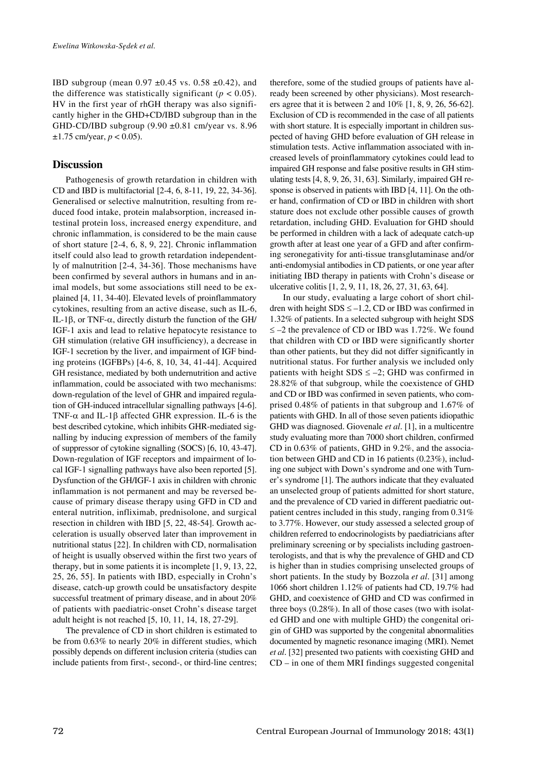IBD subgroup (mean  $0.97 \pm 0.45$  vs.  $0.58 \pm 0.42$ ), and the difference was statistically significant  $(p < 0.05)$ . HV in the first year of rhGH therapy was also significantly higher in the GHD+CD/IBD subgroup than in the GHD-CD/IBD subgroup  $(9.90 \pm 0.81 \text{ cm/year}$  vs. 8.96  $\pm 1.75$  cm/year,  $p < 0.05$ ).

#### **Discussion**

Pathogenesis of growth retardation in children with CD and IBD is multifactorial [2-4, 6, 8-11, 19, 22, 34-36]. Generalised or selective malnutrition, resulting from reduced food intake, protein malabsorption, increased intestinal protein loss, increased energy expenditure, and chronic inflammation, is considered to be the main cause of short stature [2-4, 6, 8, 9, 22]. Chronic inflammation itself could also lead to growth retardation independently of malnutrition [2-4, 34-36]. Those mechanisms have been confirmed by several authors in humans and in animal models, but some associations still need to be explained [4, 11, 34-40]. Elevated levels of proinflammatory cytokines, resulting from an active disease, such as IL-6, IL-1β, or TNF-α, directly disturb the function of the GH/ IGF-1 axis and lead to relative hepatocyte resistance to GH stimulation (relative GH insufficiency), a decrease in IGF-1 secretion by the liver, and impairment of IGF binding proteins (IGFBPs) [4-6, 8, 10, 34, 41-44]. Acquired GH resistance, mediated by both undernutrition and active inflammation, could be associated with two mechanisms: down-regulation of the level of GHR and impaired regulation of GH-induced intracellular signalling pathways [4-6]. TNF- $\alpha$  and IL-1 $\beta$  affected GHR expression. IL-6 is the best described cytokine, which inhibits GHR-mediated signalling by inducing expression of members of the family of suppressor of cytokine signalling (SOCS) [6, 10, 43-47]. Down-regulation of IGF receptors and impairment of local IGF-1 signalling pathways have also been reported [5]. Dysfunction of the GH/IGF-1 axis in children with chronic inflammation is not permanent and may be reversed because of primary disease therapy using GFD in CD and enteral nutrition, infliximab, prednisolone, and surgical resection in children with IBD [5, 22, 48-54]. Growth acceleration is usually observed later than improvement in nutritional status [22]. In children with CD, normalisation of height is usually observed within the first two years of therapy, but in some patients it is incomplete [1, 9, 13, 22, 25, 26, 55]. In patients with IBD, especially in Crohn's disease, catch-up growth could be unsatisfactory despite successful treatment of primary disease, and in about 20% of patients with paediatric-onset Crohn's disease target adult height is not reached [5, 10, 11, 14, 18, 27-29].

The prevalence of CD in short children is estimated to be from 0.63% to nearly 20% in different studies, which possibly depends on different inclusion criteria (studies can include patients from first-, second-, or third-line centres; therefore, some of the studied groups of patients have already been screened by other physicians). Most researchers agree that it is between 2 and 10% [1, 8, 9, 26, 56-62]. Exclusion of CD is recommended in the case of all patients with short stature. It is especially important in children suspected of having GHD before evaluation of GH release in stimulation tests. Active inflammation associated with increased levels of proinflammatory cytokines could lead to impaired GH response and false positive results in GH stimulating tests [4, 8, 9, 26, 31, 63]. Similarly, impaired GH response is observed in patients with IBD [4, 11]. On the other hand, confirmation of CD or IBD in children with short stature does not exclude other possible causes of growth retardation, including GHD. Evaluation for GHD should be performed in children with a lack of adequate catch-up growth after at least one year of a GFD and after confirming seronegativity for anti-tissue transglutaminase and/or anti-endomysial antibodies in CD patients, or one year after initiating IBD therapy in patients with Crohn's disease or ulcerative colitis [1, 2, 9, 11, 18, 26, 27, 31, 63, 64].

In our study, evaluating a large cohort of short children with height  $SDS \le -1.2$ , CD or IBD was confirmed in 1.32% of patients. In a selected subgroup with height SDS ≤ –2 the prevalence of CD or IBD was 1.72%. We found that children with CD or IBD were significantly shorter than other patients, but they did not differ significantly in nutritional status. For further analysis we included only patients with height  $SDS \le -2$ ; GHD was confirmed in 28.82% of that subgroup, while the coexistence of GHD and CD or IBD was confirmed in seven patients, who comprised 0.48% of patients in that subgroup and 1.67% of patients with GHD. In all of those seven patients idiopathic GHD was diagnosed. Giovenale *et al*. [1], in a multicentre study evaluating more than 7000 short children, confirmed CD in 0.63% of patients, GHD in 9.2%, and the association between GHD and CD in 16 patients (0.23%), including one subject with Down's syndrome and one with Turner's syndrome [1]. The authors indicate that they evaluated an unselected group of patients admitted for short stature, and the prevalence of CD varied in different paediatric outpatient centres included in this study, ranging from 0.31% to 3.77%. However, our study assessed a selected group of children referred to endocrinologists by paediatricians after preliminary screening or by specialists including gastroenterologists, and that is why the prevalence of GHD and CD is higher than in studies comprising unselected groups of short patients. In the study by Bozzola *et al*. [31] among 1066 short children 1.12% of patients had CD, 19.7% had GHD, and coexistence of GHD and CD was confirmed in three boys (0.28%). In all of those cases (two with isolated GHD and one with multiple GHD) the congenital origin of GHD was supported by the congenital abnormalities documented by magnetic resonance imaging (MRI). Nemet *et al*. [32] presented two patients with coexisting GHD and CD – in one of them MRI findings suggested congenital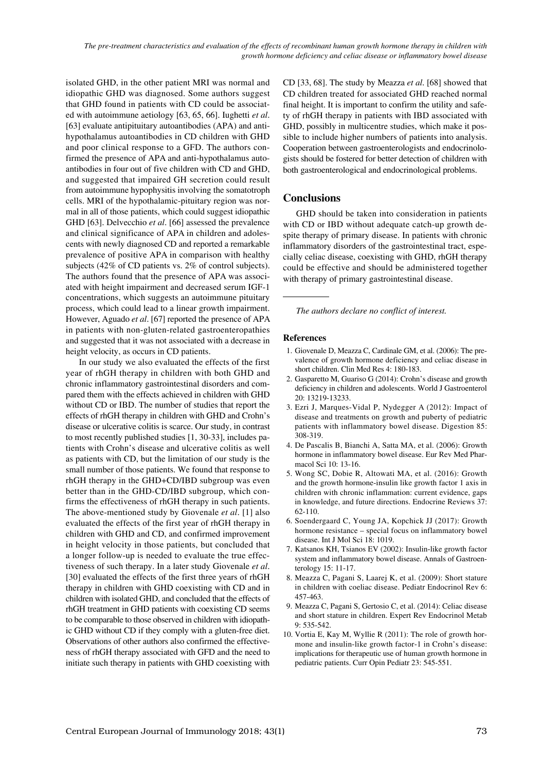isolated GHD, in the other patient MRI was normal and idiopathic GHD was diagnosed. Some authors suggest that GHD found in patients with CD could be associated with autoimmune aetiology [63, 65, 66]. Iughetti *et al*. [63] evaluate antipituitary autoantibodies (APA) and antihypothalamus autoantibodies in CD children with GHD and poor clinical response to a GFD. The authors confirmed the presence of APA and anti-hypothalamus autoantibodies in four out of five children with CD and GHD, and suggested that impaired GH secretion could result from autoimmune hypophysitis involving the somatotroph cells. MRI of the hypothalamic-pituitary region was normal in all of those patients, which could suggest idiopathic GHD [63]. Delvecchio *et al*. [66] assessed the prevalence and clinical significance of APA in children and adolescents with newly diagnosed CD and reported a remarkable prevalence of positive APA in comparison with healthy subjects (42% of CD patients vs. 2% of control subjects). The authors found that the presence of APA was associated with height impairment and decreased serum IGF-1 concentrations, which suggests an autoimmune pituitary process, which could lead to a linear growth impairment. However, Aguado *et al*. [67] reported the presence of APA in patients with non-gluten-related gastroenteropathies and suggested that it was not associated with a decrease in height velocity, as occurs in CD patients.

In our study we also evaluated the effects of the first year of rhGH therapy in children with both GHD and chronic inflammatory gastrointestinal disorders and compared them with the effects achieved in children with GHD without CD or IBD. The number of studies that report the effects of rhGH therapy in children with GHD and Crohn's disease or ulcerative colitis is scarce. Our study, in contrast to most recently published studies [1, 30-33], includes patients with Crohn's disease and ulcerative colitis as well as patients with CD, but the limitation of our study is the small number of those patients. We found that response to rhGH therapy in the GHD+CD/IBD subgroup was even better than in the GHD-CD/IBD subgroup, which confirms the effectiveness of rhGH therapy in such patients. The above-mentioned study by Giovenale *et al*. [1] also evaluated the effects of the first year of rhGH therapy in children with GHD and CD, and confirmed improvement in height velocity in those patients, but concluded that a longer follow-up is needed to evaluate the true effectiveness of such therapy. In a later study Giovenale *et al*. [30] evaluated the effects of the first three years of rhGH therapy in children with GHD coexisting with CD and in children with isolated GHD, and concluded that the effects of rhGH treatment in GHD patients with coexisting CD seems to be comparable to those observed in children with idiopathic GHD without CD if they comply with a gluten-free diet. Observations of other authors also confirmed the effectiveness of rhGH therapy associated with GFD and the need to initiate such therapy in patients with GHD coexisting with

CD [33, 68]. The study by Meazza *et al*. [68] showed that CD children treated for associated GHD reached normal final height. It is important to confirm the utility and safety of rhGH therapy in patients with IBD associated with GHD, possibly in multicentre studies, which make it possible to include higher numbers of patients into analysis. Cooperation between gastroenterologists and endocrinologists should be fostered for better detection of children with both gastroenterological and endocrinological problems.

## **Conclusions**

GHD should be taken into consideration in patients with CD or IBD without adequate catch-up growth despite therapy of primary disease. In patients with chronic inflammatory disorders of the gastrointestinal tract, especially celiac disease, coexisting with GHD, rhGH therapy could be effective and should be administered together with therapy of primary gastrointestinal disease.

*The authors declare no conflict of interest.*

#### **References**

- 1. Giovenale D, Meazza C, Cardinale GM, et al. (2006): The prevalence of growth hormone deficiency and celiac disease in short children. Clin Med Res 4: 180-183.
- 2. Gasparetto M, Guariso G (2014): Crohn's disease and growth deficiency in children and adolescents. World J Gastroenterol 20: 13219-13233.
- 3. Ezri J, Marques-Vidal P, Nydegger A (2012): Impact of disease and treatments on growth and puberty of pediatric patients with inflammatory bowel disease. Digestion 85: 308-319.
- 4. De Pascalis B, Bianchi A, Satta MA, et al. (2006): Growth hormone in inflammatory bowel disease. Eur Rev Med Pharmacol Sci 10: 13-16.
- 5. Wong SC, Dobie R, Altowati MA, et al. (2016): Growth and the growth hormone-insulin like growth factor 1 axis in children with chronic inflammation: current evidence, gaps in knowledge, and future directions. Endocrine Reviews 37: 62-110.
- 6. Soendergaard C, Young JA, Kopchick JJ (2017): Growth hormone resistance – special focus on inflammatory bowel disease. Int J Mol Sci 18: 1019.
- 7. Katsanos KH, Tsianos EV (2002): Insulin-like growth factor system and inflammatory bowel disease. Annals of Gastroenterology 15: 11-17.
- 8. Meazza C, Pagani S, Laarej K, et al. (2009): Short stature in children with coeliac disease. Pediatr Endocrinol Rev 6: 457-463.
- 9. Meazza C, Pagani S, Gertosio C, et al. (2014): Celiac disease and short stature in children. Expert Rev Endocrinol Metab 9: 535-542.
- 10. Vortia E, Kay M, Wyllie R (2011): The role of growth hormone and insulin-like growth factor-1 in Crohn's disease: implications for therapeutic use of human growth hormone in pediatric patients. Curr Opin Pediatr 23: 545-551.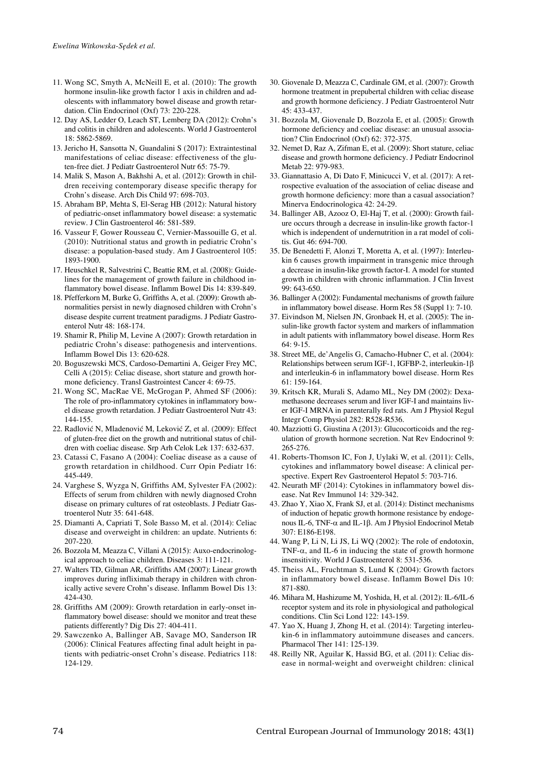- 11. Wong SC, Smyth A, McNeill E, et al. (2010): The growth hormone insulin-like growth factor 1 axis in children and adolescents with inflammatory bowel disease and growth retardation. Clin Endocrinol (Oxf) 73: 220-228.
- 12. Day AS, Ledder O, Leach ST, Lemberg DA (2012): Crohn's and colitis in children and adolescents. World J Gastroenterol 18: 5862-5869.
- 13. Jericho H, Sansotta N, Guandalini S (2017): Extraintestinal manifestations of celiac disease: effectiveness of the gluten-free diet. J Pediatr Gastroenterol Nutr 65: 75-79.
- 14. Malik S, Mason A, Bakhshi A, et al. (2012): Growth in children receiving contemporary disease specific therapy for Crohn's disease. Arch Dis Child 97: 698-703.
- 15. Abraham BP, Mehta S, El-Serag HB (2012): Natural history of pediatric-onset inflammatory bowel disease: a systematic review. J Clin Gastroenterol 46: 581-589.
- 16. Vasseur F, Gower Rousseau C, Vernier-Massouille G, et al. (2010): Nutritional status and growth in pediatric Crohn's disease: a population-based study. Am J Gastroenterol 105: 1893-1900.
- 17. Heuschkel R, Salvestrini C, Beattie RM, et al. (2008): Guidelines for the management of growth failure in childhood inflammatory bowel disease. Inflamm Bowel Dis 14: 839-849.
- 18. Pfefferkorn M, Burke G, Griffiths A, et al. (2009): Growth abnormalities persist in newly diagnosed children with Crohn's disease despite current treatment paradigms. J Pediatr Gastroenterol Nutr 48: 168-174.
- 19. Shamir R, Philip M, Levine A (2007): Growth retardation in pediatric Crohn's disease: pathogenesis and interventions. Inflamm Bowel Dis 13: 620-628.
- 20. Boguszewski MCS, Cardoso-Demartini A, Geiger Frey MC, Celli A (2015): Celiac disease, short stature and growth hormone deficiency. Transl Gastrointest Cancer 4: 69-75.
- 21. Wong SC, MacRae VE, McGrogan P, Ahmed SF (2006): The role of pro-inflammatory cytokines in inflammatory bowel disease growth retardation. J Pediatr Gastroenterol Nutr 43: 144-155.
- 22. Radlović N, Mladenović M, Leković Z, et al. (2009): Effect of gluten-free diet on the growth and nutritional status of children with coeliac disease. Srp Arh Celok Lek 137: 632-637.
- 23. Catassi C, Fasano A (2004): Coeliac disease as a cause of growth retardation in childhood. Curr Opin Pediatr 16: 445-449.
- 24. Varghese S, Wyzga N, Griffiths AM, Sylvester FA (2002): Effects of serum from children with newly diagnosed Crohn disease on primary cultures of rat osteoblasts. J Pediatr Gastroenterol Nutr 35: 641-648.
- 25. Diamanti A, Capriati T, Sole Basso M, et al. (2014): Celiac disease and overweight in children: an update. Nutrients 6: 207-220.
- 26. Bozzola M, Meazza C, Villani A (2015): Auxo-endocrinological approach to celiac children. Diseases 3: 111-121.
- 27. Walters TD, Gilman AR, Griffiths AM (2007): Linear growth improves during infliximab therapy in children with chronically active severe Crohn's disease. Inflamm Bowel Dis 13: 424-430.
- 28. Griffiths AM (2009): Growth retardation in early-onset inflammatory bowel disease: should we monitor and treat these patients differently? Dig Dis 27: 404-411.
- 29. Sawczenko A, Ballinger AB, Savage MO, Sanderson IR (2006): Clinical Features affecting final adult height in patients with pediatric-onset Crohn's disease. Pediatrics 118: 124-129.
- 30. Giovenale D, Meazza C, Cardinale GM, et al. (2007): Growth hormone treatment in prepubertal children with celiac disease and growth hormone deficiency. J Pediatr Gastroenterol Nutr 45: 433-437.
- 31. Bozzola M, Giovenale D, Bozzola E, et al. (2005): Growth hormone deficiency and coeliac disease: an unusual association? Clin Endocrinol (Oxf) 62: 372-375.
- 32. Nemet D, Raz A, Zifman E, et al. (2009): Short stature, celiac disease and growth hormone deficiency. J Pediatr Endocrinol Metab 22: 979-983.
- 33. Giannattasio A, Di Dato F, Minicucci V, et al. (2017): A retrospective evaluation of the association of celiac disease and growth hormone deficiency: more than a casual association? Minerva Endocrinologica 42: 24-29.
- 34. Ballinger AB, Azooz O, El-Haj T, et al. (2000): Growth failure occurs through a decrease in insulin-like growth factor-1 which is independent of undernutrition in a rat model of colitis. Gut 46: 694-700.
- 35. De Benedetti F, Alonzi T, Moretta A, et al. (1997): Interleukin 6 causes growth impairment in transgenic mice through a decrease in insulin-like growth factor-I. A model for stunted growth in children with chronic inflammation. J Clin Invest 99: 643-650.
- 36. Ballinger A (2002): Fundamental mechanisms of growth failure in inflammatory bowel disease. Horm Res 58 (Suppl 1): 7-10.
- 37. Eivindson M, Nielsen JN, Gronbaek H, et al. (2005): The insulin-like growth factor system and markers of inflammation in adult patients with inflammatory bowel disease. Horm Res 64: 9-15.
- 38. Street ME, de'Angelis G, Camacho-Hubner C, et al. (2004): Relationships between serum IGF-1, IGFBP-2, interleukin-1β and interleukin-6 in inflammatory bowel disease. Horm Res 61: 159-164.
- 39. Kritsch KR, Murali S, Adamo ML, Ney DM (2002): Dexamethasone decreases serum and liver IGF-I and maintains liver IGF-I MRNA in parenterally fed rats. Am J Physiol Regul Integr Comp Physiol 282: R528-R536.
- 40. Mazziotti G, Giustina A (2013): Glucocorticoids and the regulation of growth hormone secretion. Nat Rev Endocrinol 9: 265-276.
- 41. Roberts-Thomson IC, Fon J, Uylaki W, et al. (2011): Cells, cytokines and inflammatory bowel disease: A clinical perspective. Expert Rev Gastroenterol Hepatol 5: 703-716.
- 42. Neurath MF (2014): Cytokines in inflammatory bowel disease. Nat Rev Immunol 14: 329-342.
- 43. Zhao Y, Xiao X, Frank SJ, et al. (2014): Distinct mechanisms of induction of hepatic growth hormone resistance by endogenous IL-6, TNF-α and IL-1β. Am J Physiol Endocrinol Metab 307: E186-E198.
- 44. Wang P, Li N, Li JS, Li WQ (2002): The role of endotoxin, TNF- $\alpha$ , and IL-6 in inducing the state of growth hormone insensitivity. World J Gastroenterol 8: 531-536.
- 45. Theiss AL, Fruchtman S, Lund K (2004): Growth factors in inflammatory bowel disease. Inflamm Bowel Dis 10: 871-880.
- 46. Mihara M, Hashizume M, Yoshida, H, et al. (2012): IL-6/IL-6 receptor system and its role in physiological and pathological conditions. Clin Sci Lond 122: 143-159.
- 47. Yao X, Huang J, Zhong H, et al. (2014): Targeting interleukin-6 in inflammatory autoimmune diseases and cancers. Pharmacol Ther 141: 125-139.
- 48. Reilly NR, Aguilar K, Hassid BG, et al. (2011): Celiac disease in normal-weight and overweight children: clinical